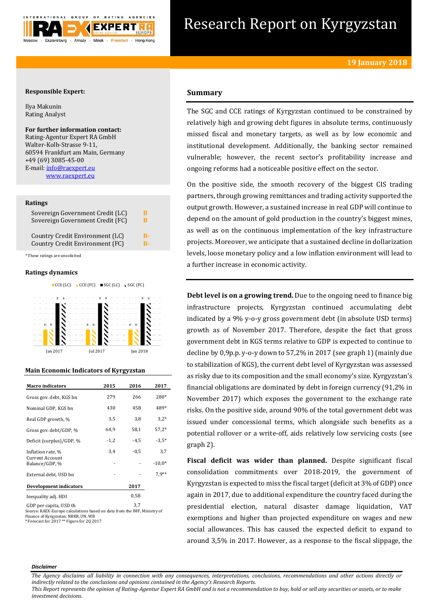

# Research Report on Kyrgyzstan

# **Responsible Expert:**

Ilya Makunin Rating Analyst

# **For further information contact:** Rating-Agentur Expert RA GmbH Walter-Kolb-Strasse 9-11, 60594 Frankfurt am Main, Germany +49 (69) 3085-45-00

E-mail[: info@raexpert.eu](mailto:info@raexpert.eu) [www.raexpert.eu](http://raexpert.eu/)

# **Ratings**

| Sovereign Government Credit (LC) | в         |
|----------------------------------|-----------|
| Sovereign Government Credit (FC) | в         |
| Country Credit Environment (LC)  | R-        |
| Country Credit Environment (FC)  | <b>R-</b> |

\* These ratings are unsolicited

# **Ratings dynamics**



# **Main Economic Indicators of Kyrgyzstan**

| <b>Macro indicators</b>                  | 2015   | 2016   | 2017     |
|------------------------------------------|--------|--------|----------|
| Gross gov. debt. KGS bn                  | 279    | 266    | 280*     |
| Nominal GDP, KGS bn                      | 430    | 458    | 489*     |
| Real GDP growth, %                       | 3,5    | 3,8    | $3,2*$   |
| Gross gov. debt/GDP, %                   | 64,9   | 58,1   | $57,2*$  |
| Deficit (surplus)/GDP, %                 | $-1,2$ | $-4.5$ | $-3.5*$  |
| Inflation rate, %                        | 3,4    | $-0.5$ | 3,7      |
| <b>Current Account</b><br>Balance/GDP, % | ٠      |        | $-10,0*$ |
| External debt, USD bn                    |        |        | $7.9**$  |
| Development indicators                   |        | 2017   |          |
| Inequality adj. HDI                      |        | 0,58   |          |
| $CDD$ por capita $HCD$ the               |        | 37     |          |

GDP per capita, USD th<br>3,7 Source: RAEX-Europe calculations based on data from the IMF, Ministry of Finance of Kyrgyzstan, NBKR, UN, WB \* Forecast for 2017 \*\* Figure for 2Q 2017

# **Summary**

The SGC and CCE ratings of Kyrgyzstan continued to be constrained by relatively high and growing debt figures in absolute terms, continuously missed fiscal and monetary targets, as well as by low economic and institutional development. Additionally, the banking sector remained vulnerable; however, the recent sector's profitability increase and ongoing reforms had a noticeable positive effect on the sector.

On the positive side, the smooth recovery of the biggest CIS trading partners, through growing remittances and trading activity supported the output growth. However, a sustained increase in real GDP will continue to depend on the amount of gold production in the country's biggest mines, as well as on the continuous implementation of the key infrastructure projects. Moreover, we anticipate that a sustained decline in dollarization levels, loose monetary policy and a low inflation environment will lead to a further increase in economic activity.

**Debt level is on a growing trend.** Due to the ongoing need to finance big infrastructure projects, Kyrgyzstan continued accumulating debt indicated by a 9% y-o-y gross government debt (in absolute USD terms) growth as of November 2017. Therefore, despite the fact that gross government debt in KGS terms relative to GDP is expected to continue to decline by 0,9p.p. y-o-y down to 57,2% in 2017 (see graph 1) (mainly due to stabilization of KGS), the current debt level of Kyrgyzstan was assessed as risky due to its composition and the small economy's size. Kyrgyzstan's financial obligations are dominated by debt in foreign currency (91,2% in November 2017) which exposes the government to the exchange rate risks. On the positive side, around 90% of the total government debt was issued under concessional terms, which alongside such benefits as a potential rollover or a write-off, aids relatively low servicing costs (see graph 2).

**Fiscal deficit was wider than planned.** Despite significant fiscal consolidation commitments over 2018-2019, the government of Kyrgyzstan is expected to miss the fiscal target (deficit at 3% of GDP) once again in 2017, due to additional expenditure the country faced during the presidential election, natural disaster damage liquidation, VAT exemptions and higher than projected expenditure on wages and new social allowances. This has caused the expected deficit to expand to around 3,5% in 2017. However, as a response to the fiscal slippage, the

#### *Disclaimer*

*The Agency disclaims all liability in connection with any consequences, interpretations, conclusions, recommendations and other actions directly or indirectly related to the conclusions and opinions contained in the Agency's Research Reports.*

*This Report represents the opinion of Rating-Agentur Expert RA GmbH and is not a recommendation to buy, hold or sell any securities or assets, or to make investment decisions.*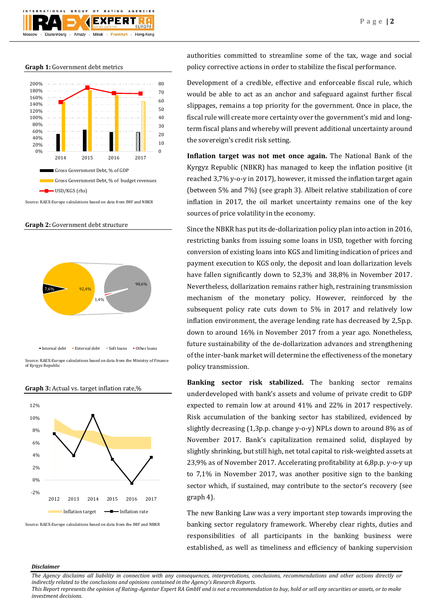

**Graph 1:** Government debt metrics



Source: RAEX-Europe calculations based on data from IMF and NBKR





of Kyrgyz Republi



**Graph 3:** Actual vs. target inflation rate,%

authorities committed to streamline some of the tax, wage and social policy corrective actions in order to stabilize the fiscal performance.

Development of a credible, effective and enforceable fiscal rule, which would be able to act as an anchor and safeguard against further fiscal slippages, remains a top priority for the government. Once in place, the fiscal rule will create more certainty over the government's mid and longterm fiscal plans and whereby will prevent additional uncertainty around the sovereign's credit risk setting.

**Inflation target was not met once again.** The National Bank of the Kyrgyz Republic (NBKR) has managed to keep the inflation positive (it reached 3,7% y-o-y in 2017), however, it missed the inflation target again (between 5% and 7%) (see graph 3). Albeit relative stabilization of core inflation in 2017, the oil market uncertainty remains one of the key sources of price volatility in the economy.

Since the NBKR has put its de-dollarization policy plan into action in 2016, restricting banks from issuing some loans in USD, together with forcing conversion of existing loans into KGS and limiting indication of prices and payment execution to KGS only, the deposit and loan dollarization levels have fallen significantly down to 52,3% and 38,8% in November 2017. Nevertheless, dollarization remains rather high, restraining transmission mechanism of the monetary policy. However, reinforced by the subsequent policy rate cuts down to 5% in 2017 and relatively low inflation environment, the average lending rate has decreased by 2,5p.p. down to around 16% in November 2017 from a year ago. Nonetheless, future sustainability of the de-dollarization advances and strengthening of the inter-bank market will determine the effectiveness of the monetary policy transmission.

**Banking sector risk stabilized.** The banking sector remains underdeveloped with bank's assets and volume of private credit to GDP expected to remain low at around 41% and 22% in 2017 respectively. Risk accumulation of the banking sector has stabilized, evidenced by slightly decreasing (1,3p.p. change y-o-y) NPLs down to around 8% as of November 2017. Bank's capitalization remained solid, displayed by slightly shrinking, but still high, net total capital to risk-weighted assets at 23,9% as of November 2017. Accelerating profitability at 6,8p.p. y-o-y up to 7,1% in November 2017, was another positive sign to the banking sector which, if sustained, may contribute to the sector's recovery (see graph 4).

The new Banking Law was a very important step towards improving the banking sector regulatory framework. Whereby clear rights, duties and responsibilities of all participants in the banking business were established, as well as timeliness and efficiency of banking supervision

# *Disclaimer*

*This Report represents the opinion of Rating-Agentur Expert RA GmbH and is not a recommendation to buy, hold or sell any securities or assets, or to make investment decisions.*

Source: RAEX-Europe calculations based on data from the IMF and NBKR

*The Agency disclaims all liability in connection with any consequences, interpretations, conclusions, recommendations and other actions directly or indirectly related to the conclusions and opinions contained in the Agency's Research Reports.*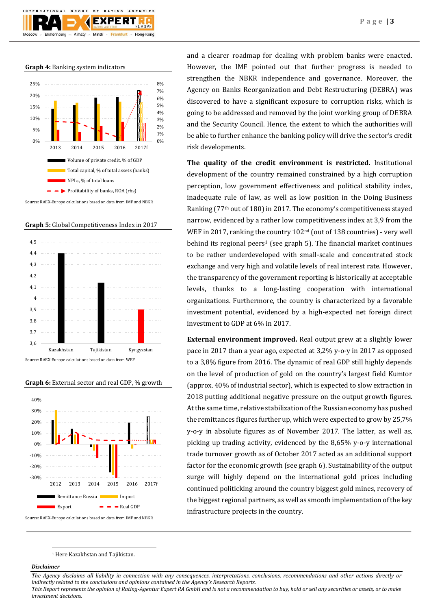**Graph 4:** Banking system indicators

Ekaterinburg

GROUP



 $O F$ 

Almaty - Minsk -

**EXPERT** 

Frankfurt

AGENCIES

Hong-Kong



**Graph 5:** Global Competitiveness Index in 2017



Source: RAEX-Europe calculations based on data from WEF





and a clearer roadmap for dealing with problem banks were enacted. However, the IMF pointed out that further progress is needed to strengthen the NBKR independence and governance. Moreover, the Agency on Banks Reorganization and Debt Restructuring (DEBRA) was discovered to have a significant exposure to corruption risks, which is going to be addressed and removed by the joint working group of DEBRA and the Security Council. Hence, the extent to which the authorities will be able to further enhance the banking policy will drive the sector's credit risk developments.

**The quality of the credit environment is restricted.** Institutional development of the country remained constrained by a high corruption perception, low government effectiveness and political stability index, inadequate rule of law, as well as low position in the Doing Business Ranking (77th out of 180) in 2017. The economy's competitiveness stayed narrow, evidenced by a rather low competitiveness index at 3,9 from the WEF in 2017, ranking the country 102nd (out of 138 countries) - very well behind its regional peers<sup>1</sup> (see graph 5). The financial market continues to be rather underdeveloped with small-scale and concentrated stock exchange and very high and volatile levels of real interest rate. However, the transparency of the government reporting is historically at acceptable levels, thanks to a long-lasting cooperation with international organizations. Furthermore, the country is characterized by a favorable investment potential, evidenced by a high-expected net foreign direct investment to GDP at 6% in 2017.

**External environment improved.** Real output grew at a slightly lower pace in 2017 than a year ago, expected at 3,2% y-o-y in 2017 as opposed to a 3,8% figure from 2016. The dynamic of real GDP still highly depends on the level of production of gold on the country's largest field Kumtor (approx. 40% of industrial sector), which is expected to slow extraction in 2018 putting additional negative pressure on the output growth figures. At the same time, relative stabilization of the Russian economy has pushed the remittances figures further up, which were expected to grow by 25,7% y-o-y in absolute figures as of November 2017. The latter, as well as, picking up trading activity, evidenced by the 8,65% y-o-y international trade turnover growth as of October 2017 acted as an additional support factor for the economic growth (see graph 6). Sustainability of the output surge will highly depend on the international gold prices including continued politicking around the country biggest gold mines, recovery of the biggest regional partners, as well as smooth implementation of the key infrastructure projects in the country.

<sup>1</sup> Here Kazakhstan and Tajikistan.

# *Disclaimer*

1

*The Agency disclaims all liability in connection with any consequences, interpretations, conclusions, recommendations and other actions directly or indirectly related to the conclusions and opinions contained in the Agency's Research Reports.*

*This Report represents the opinion of Rating-Agentur Expert RA GmbH and is not a recommendation to buy, hold or sell any securities or assets, or to make investment decisions.*